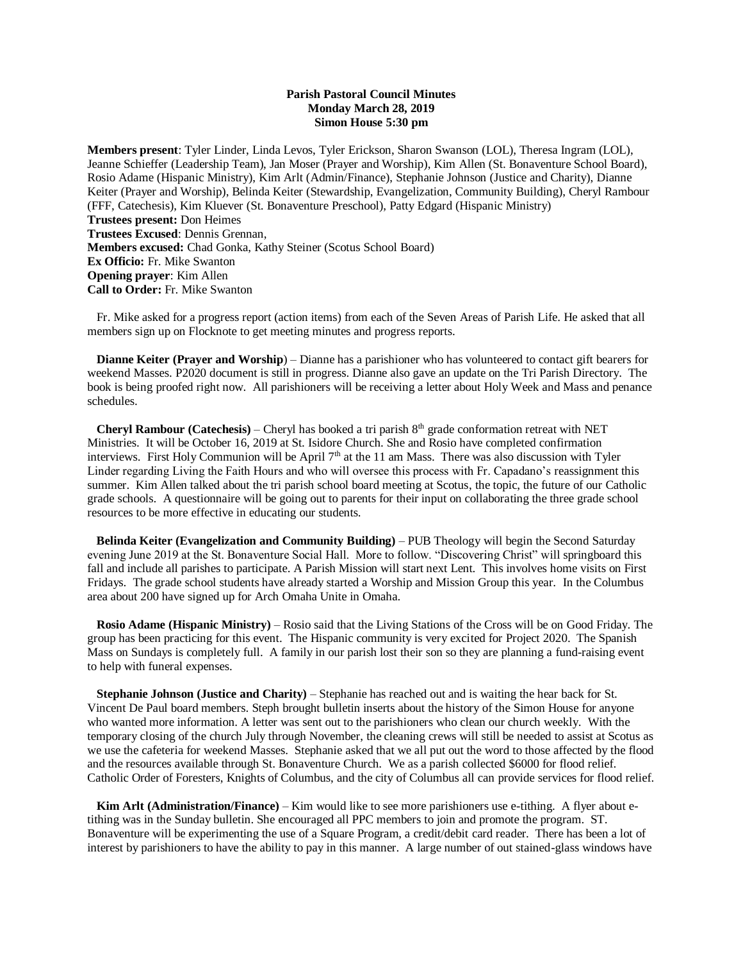## **Parish Pastoral Council Minutes Monday March 28, 2019 Simon House 5:30 pm**

**Members present**: Tyler Linder, Linda Levos, Tyler Erickson, Sharon Swanson (LOL), Theresa Ingram (LOL), Jeanne Schieffer (Leadership Team), Jan Moser (Prayer and Worship), Kim Allen (St. Bonaventure School Board), Rosio Adame (Hispanic Ministry), Kim Arlt (Admin/Finance), Stephanie Johnson (Justice and Charity), Dianne Keiter (Prayer and Worship), Belinda Keiter (Stewardship, Evangelization, Community Building), Cheryl Rambour (FFF, Catechesis), Kim Kluever (St. Bonaventure Preschool), Patty Edgard (Hispanic Ministry) **Trustees present:** Don Heimes **Trustees Excused**: Dennis Grennan, **Members excused:** Chad Gonka, Kathy Steiner (Scotus School Board) **Ex Officio:** Fr. Mike Swanton **Opening prayer**: Kim Allen **Call to Order:** Fr. Mike Swanton

 Fr. Mike asked for a progress report (action items) from each of the Seven Areas of Parish Life. He asked that all members sign up on Flocknote to get meeting minutes and progress reports.

 **Dianne Keiter (Prayer and Worship**) – Dianne has a parishioner who has volunteered to contact gift bearers for weekend Masses. P2020 document is still in progress. Dianne also gave an update on the Tri Parish Directory. The book is being proofed right now. All parishioners will be receiving a letter about Holy Week and Mass and penance schedules.

**Cheryl Rambour (Catechesis)** – Cheryl has booked a tri parish  $8<sup>th</sup>$  grade conformation retreat with NET Ministries. It will be October 16, 2019 at St. Isidore Church. She and Rosio have completed confirmation interviews. First Holy Communion will be April  $7<sup>th</sup>$  at the 11 am Mass. There was also discussion with Tyler Linder regarding Living the Faith Hours and who will oversee this process with Fr. Capadano's reassignment this summer. Kim Allen talked about the tri parish school board meeting at Scotus, the topic, the future of our Catholic grade schools. A questionnaire will be going out to parents for their input on collaborating the three grade school resources to be more effective in educating our students.

 **Belinda Keiter (Evangelization and Community Building)** – PUB Theology will begin the Second Saturday evening June 2019 at the St. Bonaventure Social Hall. More to follow. "Discovering Christ" will springboard this fall and include all parishes to participate. A Parish Mission will start next Lent. This involves home visits on First Fridays. The grade school students have already started a Worship and Mission Group this year. In the Columbus area about 200 have signed up for Arch Omaha Unite in Omaha.

 **Rosio Adame (Hispanic Ministry)** – Rosio said that the Living Stations of the Cross will be on Good Friday. The group has been practicing for this event. The Hispanic community is very excited for Project 2020. The Spanish Mass on Sundays is completely full. A family in our parish lost their son so they are planning a fund-raising event to help with funeral expenses.

**Stephanie Johnson (Justice and Charity)** – Stephanie has reached out and is waiting the hear back for St. Vincent De Paul board members. Steph brought bulletin inserts about the history of the Simon House for anyone who wanted more information. A letter was sent out to the parishioners who clean our church weekly. With the temporary closing of the church July through November, the cleaning crews will still be needed to assist at Scotus as we use the cafeteria for weekend Masses. Stephanie asked that we all put out the word to those affected by the flood and the resources available through St. Bonaventure Church. We as a parish collected \$6000 for flood relief. Catholic Order of Foresters, Knights of Columbus, and the city of Columbus all can provide services for flood relief.

 **Kim Arlt (Administration/Finance)** – Kim would like to see more parishioners use e-tithing. A flyer about etithing was in the Sunday bulletin. She encouraged all PPC members to join and promote the program. ST. Bonaventure will be experimenting the use of a Square Program, a credit/debit card reader. There has been a lot of interest by parishioners to have the ability to pay in this manner. A large number of out stained-glass windows have